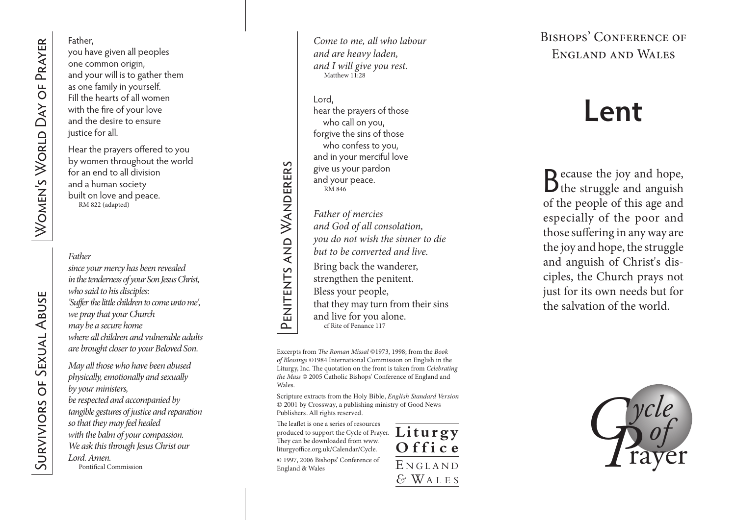### Father,

you have given all peoples one common origin, and your will is to gather them as one family in yourself. Fill the hearts of all women with the fire of your love and the desire to ensure justice for all.

Hear the prayers offered to you by women throughout the world for an end to all division and a human society built on love and peace. RM 822 (adapted)

## *Father*

*since your mercy has been revealed in the tenderness of your Son Jesus Christ, who said to his disciples: 'Suffer the little children to come unto me', we pray that your Church may be a secure home where all children and vulnerable adults are brought closer to your Beloved Son.*

*May all those who have been abused physically, emotionally and sexually by your ministers, be respected and accompanied by tangible gestures of justice and reparation so that they may feel healed with the balm of your compassion. We ask this through Jesus Christ our Lord. Amen.* Pontifical Commission

*Come to me, all who labour and are heavy laden, and I will give you rest.*  Matthew 11:28

#### Lord,

Penitents and Wanderers

PENITENTS AND WANDERERS

hear the prayers of those who call on you, forgive the sins of those who confess to you, and in your merciful love give us your pardon and your peace. RM 846

*Father of mercies* 

*and God of all consolation,* 

*you do not wish the sinner to die* 

*but to be converted and live.* 

Bring back the wanderer,

strengthen the penitent.

Bless your people,

that they may turn from their sins

and live for you alone. cf Rite of Penance 117

Excerpts from *The Roman Missal* ©1973, 1998; from the *Book of Blessings* ©1984 International Commission on English in the Liturgy, Inc. The quotation on the front is taken from *Celebrating the Mass* © 2005 Catholic Bishops' Conference of England and Wales.

Scripture extracts from the Holy Bible, *English Standard Version* © 2001 by Crossway, a publishing ministry of Good News Publishers. All rights reserved.

The leaflet is one a series of resources produced to support the Cycle of Prayer. Liturgy They can be downloaded from www. liturgyoffice.org.uk/Calendar/Cycle.

© 1997, 2006 Bishops' Conference of England & Wales



Bishops' Conference of England and Wales

# **Lent**

**D** ecause the joy and hope,  $\mathbf{D}$  the struggle and anguish of the people of this age and especially of the poor and those suffering in any way are the joy and hope, the struggle and anguish of Christ's dis ciples, the Church prays not just for its own needs but for the salvation of the world.